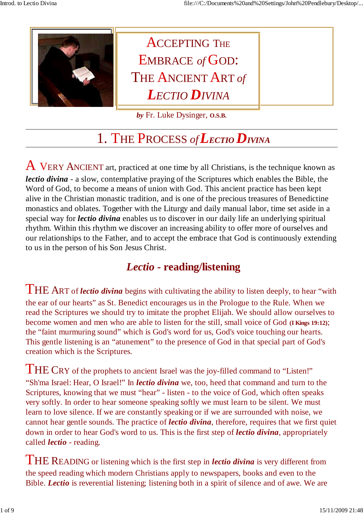

*by* Fr. Luke Dysinger, **O.S.B.**

## 1. THE PROCESS *ofLECTIO DIVINA*

A VERY ANCIENT art, practiced at one time by all Christians, is the technique known as *lectio divina* - a slow, contemplative praying of the Scriptures which enables the Bible, the Word of God, to become a means of union with God. This ancient practice has been kept alive in the Christian monastic tradition, and is one of the precious treasures of Benedictine monastics and oblates. Together with the Liturgy and daily manual labor, time set aside in a special way for *lectio divina* enables us to discover in our daily life an underlying spiritual rhythm. Within this rhythm we discover an increasing ability to offer more of ourselves and our relationships to the Father, and to accept the embrace that God is continuously extending to us in the person of his Son Jesus Christ.

#### *Lectio* **- reading/listening**

THE ART of *lectio divina* begins with cultivating the ability to listen deeply, to hear "with the ear of our hearts" as St. Benedict encourages us in the Prologue to the Rule. When we read the Scriptures we should try to imitate the prophet Elijah. We should allow ourselves to become women and men who are able to listen for the still, small voice of God **(I Kings 19:12)**; the "faint murmuring sound" which is God's word for us, God's voice touching our hearts. This gentle listening is an "atunement" to the presence of God in that special part of God's creation which is the Scriptures.

THE CRY of the prophets to ancient Israel was the joy-filled command to "Listen!" "Sh'ma Israel: Hear, O Israel!" In *lectio divina* we, too, heed that command and turn to the Scriptures, knowing that we must "hear" - listen - to the voice of God, which often speaks very softly. In order to hear someone speaking softly we must learn to be silent. We must learn to love silence. If we are constantly speaking or if we are surrounded with noise, we cannot hear gentle sounds. The practice of *lectio divina*, therefore, requires that we first quiet down in order to hear God's word to us. This is the first step of *lectio divina*, appropriately called *lectio* - reading.

THE READING or listening which is the first step in *lectio divina* is very different from the speed reading which modern Christians apply to newspapers, books and even to the Bible. *Lectio* is reverential listening; listening both in a spirit of silence and of awe. We are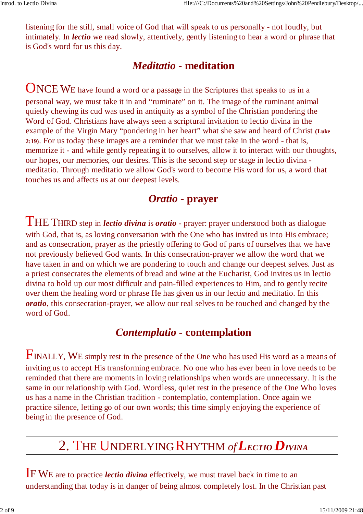listening for the still, small voice of God that will speak to us personally - not loudly, but intimately. In *lectio* we read slowly, attentively, gently listening to hear a word or phrase that is God's word for us this day.

#### *Meditatio -* **meditation**

ONCE WE have found a word or a passage in the Scriptures that speaks to us in a personal way, we must take it in and "ruminate" on it. The image of the ruminant animal quietly chewing its cud was used in antiquity as a symbol of the Christian pondering the Word of God. Christians have always seen a scriptural invitation to lectio divina in the example of the Virgin Mary "pondering in her heart" what she saw and heard of Christ **(Luke 2:19)**. For us today these images are a reminder that we must take in the word - that is, memorize it - and while gently repeating it to ourselves, allow it to interact with our thoughts, our hopes, our memories, our desires. This is the second step or stage in lectio divina meditatio. Through meditatio we allow God's word to become His word for us, a word that touches us and affects us at our deepest levels.

### *Oratio -* **prayer**

THE THIRD step in *lectio divina* is *oratio* - prayer: prayer understood both as dialogue with God, that is, as loving conversation with the One who has invited us into His embrace; and as consecration, prayer as the priestly offering to God of parts of ourselves that we have not previously believed God wants. In this consecration-prayer we allow the word that we have taken in and on which we are pondering to touch and change our deepest selves. Just as a priest consecrates the elements of bread and wine at the Eucharist, God invites us in lectio divina to hold up our most difficult and pain-filled experiences to Him, and to gently recite over them the healing word or phrase He has given us in our lectio and meditatio. In this *oratio*, this consecration-prayer, we allow our real selves to be touched and changed by the word of God.

### *Contemplatio -* **contemplation**

FINALLY, WE simply rest in the presence of the One who has used His word as a means of inviting us to accept His transforming embrace. No one who has ever been in love needs to be reminded that there are moments in loving relationships when words are unnecessary. It is the same in our relationship with God. Wordless, quiet rest in the presence of the One Who loves us has a name in the Christian tradition - contemplatio, contemplation. Once again we practice silence, letting go of our own words; this time simply enjoying the experience of being in the presence of God.

# 2. THE UNDERLYINGRHYTHM *ofLECTIO DIVINA*

IF WE are to practice *lectio divina* effectively, we must travel back in time to an understanding that today is in danger of being almost completely lost. In the Christian past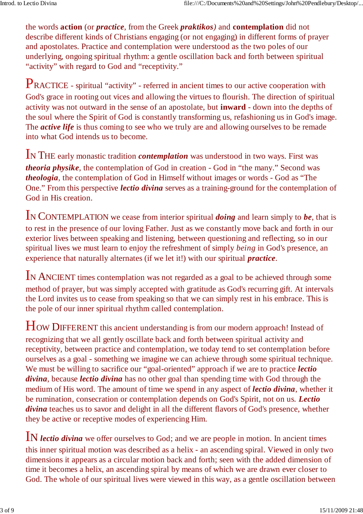the words **action** (or *practice*, from the Greek *praktikos)* and **contemplation** did not describe different kinds of Christians engaging (or not engaging) in different forms of prayer and apostolates. Practice and contemplation were understood as the two poles of our underlying, ongoing spiritual rhythm: a gentle oscillation back and forth between spiritual "activity" with regard to God and "receptivity."

PRACTICE - spiritual "activity" - referred in ancient times to our active cooperation with God's grace in rooting out vices and allowing the virtues to flourish. The direction of spiritual activity was not outward in the sense of an apostolate, but **inward** - down into the depths of the soul where the Spirit of God is constantly transforming us, refashioning us in God's image. The *active life* is thus coming to see who we truly are and allowing ourselves to be remade into what God intends us to become.

IN THE early monastic tradition *contemplation* was understood in two ways. First was *theoria physike,* the contemplation of God in creation - God in "the many." Second was *theologia,* the contemplation of God in Himself without images or words - God as "The One." From this perspective *lectio divina* serves as a training-ground for the contemplation of God in His creation.

IN CONTEMPLATION we cease from interior spiritual *doing* and learn simply to *be*, that is to rest in the presence of our loving Father. Just as we constantly move back and forth in our exterior lives between speaking and listening, between questioning and reflecting, so in our spiritual lives we must learn to enjoy the refreshment of simply *being* in God's presence, an experience that naturally alternates (if we let it!) with our spiritual *practice*.

IN ANCIENT times contemplation was not regarded as a goal to be achieved through some method of prayer, but was simply accepted with gratitude as God's recurring gift. At intervals the Lord invites us to cease from speaking so that we can simply rest in his embrace. This is the pole of our inner spiritual rhythm called contemplation.

How DIFFERENT this ancient understanding is from our modern approach! Instead of recognizing that we all gently oscillate back and forth between spiritual activity and receptivity, between practice and contemplation, we today tend to set contemplation before ourselves as a goal - something we imagine we can achieve through some spiritual technique. We must be willing to sacrifice our "goal-oriented" approach if we are to practice *lectio divina*, because *lectio divina* has no other goal than spending time with God through the medium of His word. The amount of time we spend in any aspect of *lectio divina*, whether it be rumination, consecration or contemplation depends on God's Spirit, not on us. *Lectio divina* teaches us to savor and delight in all the different flavors of God's presence, whether they be active or receptive modes of experiencing Him.

IN *lectio divina* we offer ourselves to God; and we are people in motion. In ancient times this inner spiritual motion was described as a helix - an ascending spiral. Viewed in only two dimensions it appears as a circular motion back and forth; seen with the added dimension of time it becomes a helix, an ascending spiral by means of which we are drawn ever closer to God. The whole of our spiritual lives were viewed in this way, as a gentle oscillation between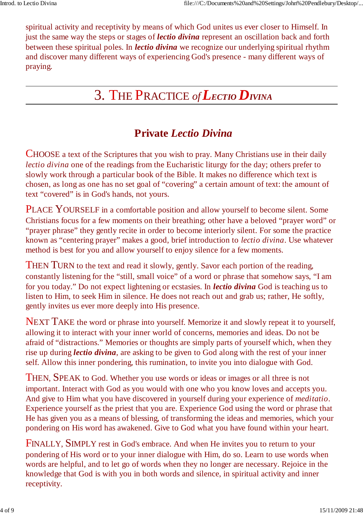spiritual activity and receptivity by means of which God unites us ever closer to Himself. In just the same way the steps or stages of *lectio divina* represent an oscillation back and forth between these spiritual poles. In *lectio divina* we recognize our underlying spiritual rhythm and discover many different ways of experiencing God's presence - many different ways of praying.

## 3. THE PRACTICE *ofLECTIO DIVINA*

### **Private** *Lectio Divina*

CHOOSE a text of the Scriptures that you wish to pray. Many Christians use in their daily *lectio divina* one of the readings from the Eucharistic liturgy for the day; others prefer to slowly work through a particular book of the Bible. It makes no difference which text is chosen, as long as one has no set goal of "covering" a certain amount of text: the amount of text "covered" is in God's hands, not yours.

PLACE YOURSELF in a comfortable position and allow yourself to become silent. Some Christians focus for a few moments on their breathing; other have a beloved "prayer word" or "prayer phrase" they gently recite in order to become interiorly silent. For some the practice known as "centering prayer" makes a good, brief introduction to *lectio divina*. Use whatever method is best for you and allow yourself to enjoy silence for a few moments.

THEN TURN to the text and read it slowly, gently. Savor each portion of the reading, constantly listening for the "still, small voice" of a word or phrase that somehow says, "I am for you today." Do not expect lightening or ecstasies. In *lectio divina* God is teaching us to listen to Him, to seek Him in silence. He does not reach out and grab us; rather, He softly, gently invites us ever more deeply into His presence.

NEXT TAKE the word or phrase into yourself. Memorize it and slowly repeat it to yourself, allowing it to interact with your inner world of concerns, memories and ideas. Do not be afraid of "distractions." Memories or thoughts are simply parts of yourself which, when they rise up during *lectio divina*, are asking to be given to God along with the rest of your inner self. Allow this inner pondering, this rumination, to invite you into dialogue with God.

THEN, SPEAK to God. Whether you use words or ideas or images or all three is not important. Interact with God as you would with one who you know loves and accepts you. And give to Him what you have discovered in yourself during your experience of *meditatio*. Experience yourself as the priest that you are. Experience God using the word or phrase that He has given you as a means of blessing, of transforming the ideas and memories, which your pondering on His word has awakened. Give to God what you have found within your heart.

FINALLY, SIMPLY rest in God's embrace. And when He invites you to return to your pondering of His word or to your inner dialogue with Him, do so. Learn to use words when words are helpful, and to let go of words when they no longer are necessary. Rejoice in the knowledge that God is with you in both words and silence, in spiritual activity and inner receptivity.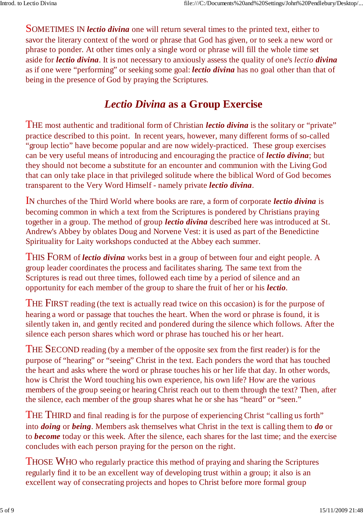SOMETIMES IN *lectio divina* one will return several times to the printed text, either to savor the literary context of the word or phrase that God has given, or to seek a new word or phrase to ponder. At other times only a single word or phrase will fill the whole time set aside for *lectio divina*. It is not necessary to anxiously assess the quality of one's *lectio divina* as if one were "performing" or seeking some goal: *lectio divina* has no goal other than that of being in the presence of God by praying the Scriptures.

### *Lectio Divina* **as a Group Exercise**

THE most authentic and traditional form of Christian *lectio divina* is the solitary or "private" practice described to this point. In recent years, however, many different forms of so-called "group lectio" have become popular and are now widely-practiced. These group exercises can be very useful means of introducing and encouraging the practice of *lectio divina*; but they should not become a substitute for an encounter and communion with the Living God that can only take place in that privileged solitude where the biblical Word of God becomes transparent to the Very Word Himself - namely private *lectio divina*.

IN churches of the Third World where books are rare, a form of corporate *lectio divina* is becoming common in which a text from the Scriptures is pondered by Christians praying together in a group. The method of group *lectio divina* described here was introduced at St. Andrew's Abbey by oblates Doug and Norvene Vest: it is used as part of the Benedictine Spirituality for Laity workshops conducted at the Abbey each summer.

THIS FORM of *lectio divina* works best in a group of between four and eight people. A group leader coordinates the process and facilitates sharing. The same text from the Scriptures is read out three times, followed each time by a period of silence and an opportunity for each member of the group to share the fruit of her or his *lectio.*

THE FIRST reading (the text is actually read twice on this occasion) is for the purpose of hearing a word or passage that touches the heart. When the word or phrase is found, it is silently taken in, and gently recited and pondered during the silence which follows. After the silence each person shares which word or phrase has touched his or her heart.

THE SECOND reading (by a member of the opposite sex from the first reader) is for the purpose of "hearing" or "seeing" Christ in the text. Each ponders the word that has touched the heart and asks where the word or phrase touches his or her life that day. In other words, how is Christ the Word touching his own experience, his own life? How are the various members of the group seeing or hearing Christ reach out to them through the text? Then, after the silence, each member of the group shares what he or she has "heard" or "seen."

THE THIRD and final reading is for the purpose of experiencing Christ "calling us forth" into *doing* or *being*. Members ask themselves what Christ in the text is calling them to *do* or to *become* today or this week. After the silence, each shares for the last time; and the exercise concludes with each person praying for the person on the right.

THOSE WHO who regularly practice this method of praying and sharing the Scriptures regularly find it to be an excellent way of developing trust within a group; it also is an excellent way of consecrating projects and hopes to Christ before more formal group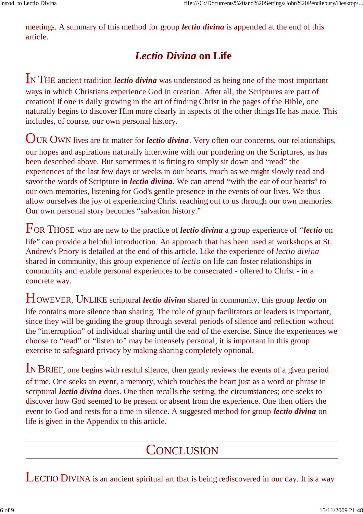meetings. A summary of this method for group *lectio divina* is appended at the end of this article.

### *Lectio Divina* **on Life**

IN THE ancient tradition *lectio divina* was understood as being one of the most important ways in which Christians experience God in creation. After all, the Scriptures are part of creation! If one is daily growing in the art of finding Christ in the pages of the Bible, one naturally begins to discover Him more clearly in aspects of the other things He has made. This includes, of course, our own personal history.

OUR OWN lives are fit matter for *lectio divina*. Very often our concerns, our relationships, our hopes and aspirations naturally intertwine with our pondering on the Scriptures, as has been described above. But sometimes it is fitting to simply sit down and "read" the experiences of the last few days or weeks in our hearts, much as we might slowly read and savor the words of Scripture in *lectio divina.* We can attend "with the ear of our hearts" to our own memories, listening for God's gentle presence in the events of our lives. We thus allow ourselves the joy of experiencing Christ reaching out to us through our own memories. Our own personal story becomes "salvation history."

FOR THOSE who are new to the practice of *lectio divina* a group experience of *"lectio* on life" can provide a helpful introduction. An approach that has been used at workshops at St. Andrew's Priory is detailed at the end of this article. Like the experience of *lectio divina* shared in community, this group experience of *lectio* on life can foster relationships in community and enable personal experiences to be consecrated - offered to Christ - in a concrete way.

HOWEVER, UNLIKE scriptural *lectio divina* shared in community, this group *lectio* on life contains more silence than sharing. The role of group facilitators or leaders is important, since they will be guiding the group through several periods of silence and reflection without the "interruption" of individual sharing until the end of the exercise. Since the experiences we choose to "read" or "listen to" may be intensely personal, it is important in this group exercise to safeguard privacy by making sharing completely optional.

IN BRIEF, one begins with restful silence, then gently reviews the events of a given period of time. One seeks an event, a memory, which touches the heart just as a word or phrase in scriptural *lectio divina* does. One then recalls the setting, the circumstances; one seeks to discover how God seemed to be present or absent from the experience. One then offers the event to God and rests for a time in silence. A suggested method for group *lectio divina* on life is given in the Appendix to this article.

## **CONCLUSION**

LECTIO DIVINA is an ancient spiritual art that is being rediscovered in our day. It is a way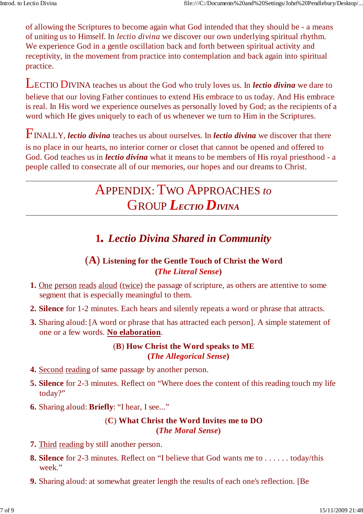of allowing the Scriptures to become again what God intended that they should be - a means of uniting us to Himself. In *lectio divina* we discover our own underlying spiritual rhythm. We experience God in a gentle oscillation back and forth between spiritual activity and receptivity, in the movement from practice into contemplation and back again into spiritual practice.

LECTIO DIVINA teaches us about the God who truly loves us. In *lectio divina* we dare to believe that our loving Father continues to extend His embrace to us today. And His embrace is real. In His word we experience ourselves as personally loved by God; as the recipients of a word which He gives uniquely to each of us whenever we turn to Him in the Scriptures.

FINALLY, *lectio divina* teaches us about ourselves. In *lectio divina* we discover that there is no place in our hearts, no interior corner or closet that cannot be opened and offered to God. God teaches us in *lectio divina* what it means to be members of His royal priesthood - a people called to consecrate all of our memories, our hopes and our dreams to Christ.

## APPENDIX: TWO APPROACHES *to* GROUP *LECTIO DIVINA*

### **1***. Lectio Divina Shared in Community*

#### (**A**) **Listening for the Gentle Touch of Christ the Word (***The Literal Sense***)**

- **1.** One person reads aloud (twice) the passage of scripture, as others are attentive to some segment that is especially meaningful to them.
- **2. Silence** for 1-2 minutes. Each hears and silently repeats a word or phrase that attracts.
- **3.** Sharing aloud: [A word or phrase that has attracted each person]. A simple statement of one or a few words. **No elaboration**.

#### (**B**) **How Christ the Word speaks to ME (***The Allegorical Sense***)**

- **4.** Second reading of same passage by another person.
- **5. Silence** for 2-3 minutes. Reflect on "Where does the content of this reading touch my life today?"
- **6.** Sharing aloud: **Briefly**: "I hear, I see..."

#### (**C**) **What Christ the Word Invites me to DO (***The Moral Sense***)**

- **7.** Third reading by still another person.
- **8. Silence** for 2-3 minutes. Reflect on "I believe that God wants me to . . . . . . today/this week."
- **9.** Sharing aloud: at somewhat greater length the results of each one's reflection. [Be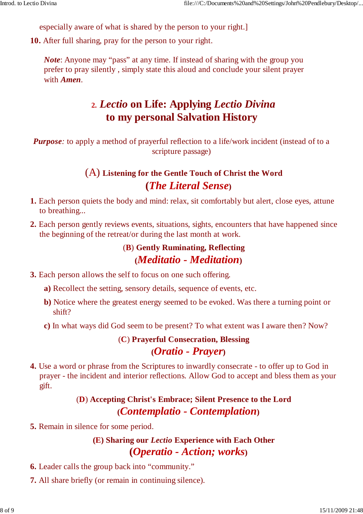especially aware of what is shared by the person to your right.]

**10.** After full sharing, pray for the person to your right.

*Note*: Anyone may "pass" at any time. If instead of sharing with the group you prefer to pray silently , simply state this aloud and conclude your silent prayer with *Amen*.

### **2.** *Lectio* **on Life: Applying** *Lectio Divina* **to my personal Salvation History**

*Purpose*: to apply a method of prayerful reflection to a life/work incident (instead of to a scripture passage)

#### (A) **Listening for the Gentle Touch of Christ the Word (***The Literal Sense***)**

- **1.** Each person quiets the body and mind: relax, sit comfortably but alert, close eyes, attune to breathing...
- **2.** Each person gently reviews events, situations, sights, encounters that have happened since the beginning of the retreat/or during the last month at work.

#### (**B**) **Gently Ruminating, Reflecting (***Meditatio - Meditation***)**

- **3.** Each person allows the self to focus on one such offering.
	- **a)** Recollect the setting, sensory details, sequence of events, etc.
	- **b)** Notice where the greatest energy seemed to be evoked. Was there a turning point or shift?
	- **c)** In what ways did God seem to be present? To what extent was I aware then? Now?

#### (**C**) **Prayerful Consecration, Blessing (***Oratio - Prayer***)**

**4.** Use a word or phrase from the Scriptures to inwardly consecrate - to offer up to God in prayer - the incident and interior reflections. Allow God to accept and bless them as your gift.

#### (**D**) **Accepting Christ's Embrace; Silent Presence to the Lord (***Contemplatio - Contemplation***)**

**5.** Remain in silence for some period.

#### **(E) Sharing our** *Lectio* **Experience with Each Other (***Operatio - Action; works***)**

- **6.** Leader calls the group back into "community."
- **7.** All share briefly (or remain in continuing silence).